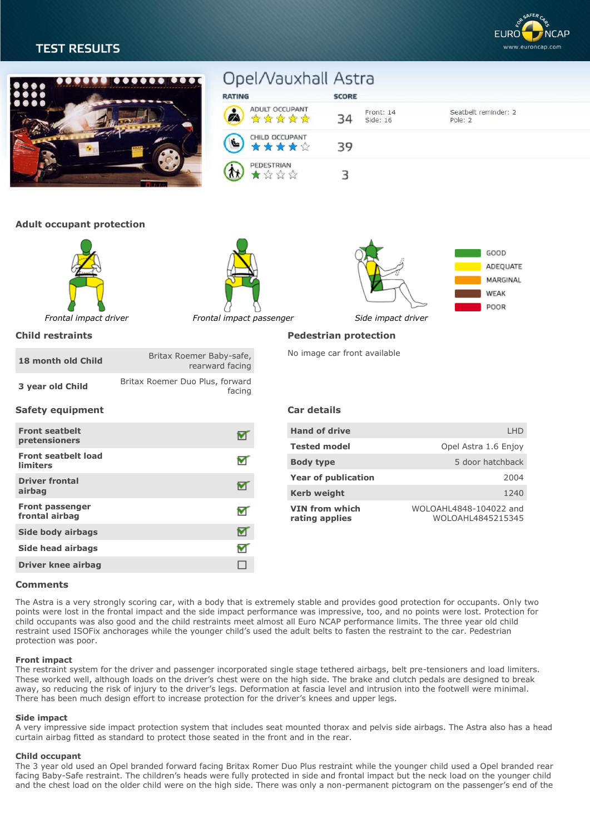# **TEST RESULTS**





# Opel/Vauxhall Astra

| ATING                                                  | <b>SLUKE</b>                |                                 |
|--------------------------------------------------------|-----------------------------|---------------------------------|
| ADULT OCCUPANT<br>à<br>女女女女女                           | Front: 14<br>₹Δ<br>Side: 16 | Seatbelt reminder: 2<br>Pole: 2 |
| CHILD OCCUPANT<br><b>E</b><br>★★★★☆                    |                             |                                 |
| PEDESTRIAN<br>$\Lambda$<br>$\sim$ $\sim$ $\sim$ $\sim$ |                             |                                 |

# **Adult occupant protection**







# **Child restraints**

| 18 month old Child | Britax Roemer Baby-safe,<br>rearward facing |
|--------------------|---------------------------------------------|
| 3 year old Child   | Britax Roemer Duo Plus, forward<br>facing   |

# **Safety equipment**

| <b>Front seatbelt</b><br>pretensioners        |  |
|-----------------------------------------------|--|
| <b>Front seatbelt load</b><br><b>limiters</b> |  |
| <b>Driver frontal</b><br>airbag               |  |
| <b>Front passenger</b><br>frontal airbag      |  |
| Side body airbags                             |  |
| Side head airbags                             |  |
| Driver knee airbag                            |  |

# **Car details**

**Pedestrian protection** No image car front available

| <b>Hand of drive</b>                    | I HD                                        |
|-----------------------------------------|---------------------------------------------|
| <b>Tested model</b>                     | Opel Astra 1.6 Enjoy                        |
| <b>Body type</b>                        | 5 door hatchback                            |
| <b>Year of publication</b>              | 2004                                        |
| <b>Kerb weight</b>                      | 1240                                        |
| <b>VIN from which</b><br>rating applies | WOLOAHL4848-104022 and<br>WOLOAHL4845215345 |

# **Comments**

The Astra is a very strongly scoring car, with a body that is extremely stable and provides good protection for occupants. Only two points were lost in the frontal impact and the side impact performance was impressive, too, and no points were lost. Protection for child occupants was also good and the child restraints meet almost all Euro NCAP performance limits. The three year old child restraint used ISOFix anchorages while the younger child's used the adult belts to fasten the restraint to the car. Pedestrian protection was poor.

# **Front impact**

The restraint system for the driver and passenger incorporated single stage tethered airbags, belt pre-tensioners and load limiters. These worked well, although loads on the driver's chest were on the high side. The brake and clutch pedals are designed to break away, so reducing the risk of injury to the driver's legs. Deformation at fascia level and intrusion into the footwell were minimal. There has been much design effort to increase protection for the driver's knees and upper legs.

# **Side impact**

A very impressive side impact protection system that includes seat mounted thorax and pelvis side airbags. The Astra also has a head curtain airbag fitted as standard to protect those seated in the front and in the rear.

#### **Child occupant**

The 3 year old used an Opel branded forward facing Britax Romer Duo Plus restraint while the younger child used a Opel branded rear facing Baby-Safe restraint. The children's heads were fully protected in side and frontal impact but the neck load on the younger child and the chest load on the older child were on the high side. There was only a non-permanent pictogram on the passenger's end of the